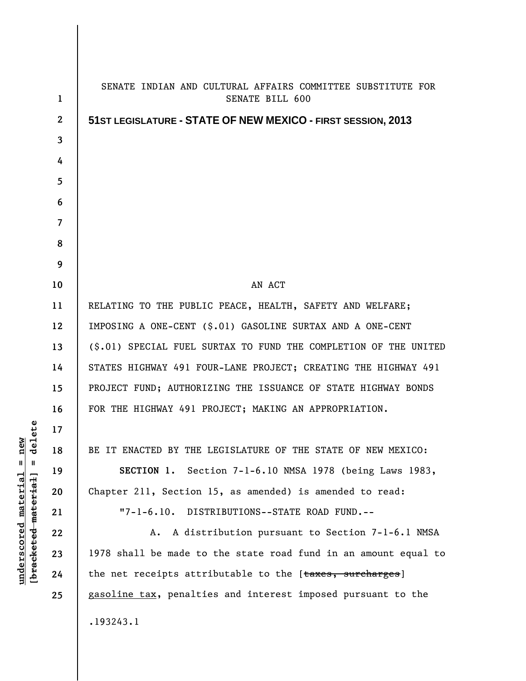| $\mathbf{1}$             | SENATE INDIAN AND CULTURAL AFFAIRS COMMITTEE SUBSTITUTE FOR<br>SENATE BILL 600 |
|--------------------------|--------------------------------------------------------------------------------|
| $\mathbf{2}$             | 51 ST LEGISLATURE - STATE OF NEW MEXICO - FIRST SESSION, 2013                  |
| 3                        |                                                                                |
| 4                        |                                                                                |
| 5                        |                                                                                |
| 6                        |                                                                                |
| $\overline{\phantom{a}}$ |                                                                                |
| 8                        |                                                                                |
| 9                        |                                                                                |
| 10                       | AN ACT                                                                         |
| 11                       | RELATING TO THE PUBLIC PEACE, HEALTH, SAFETY AND WELFARE;                      |
| 12                       | IMPOSING A ONE-CENT (\$.01) GASOLINE SURTAX AND A ONE-CENT                     |
| 13                       | (\$.01) SPECIAL FUEL SURTAX TO FUND THE COMPLETION OF THE UNITED               |
| 14                       | STATES HIGHWAY 491 FOUR-LANE PROJECT; CREATING THE HIGHWAY 491                 |
| 15                       | PROJECT FUND; AUTHORIZING THE ISSUANCE OF STATE HIGHWAY BONDS                  |
| 16                       | FOR THE HIGHWAY 491 PROJECT; MAKING AN APPROPRIATION.                          |
| 17                       |                                                                                |
| 18                       | BE IT ENACTED BY THE LEGISLATURE OF THE STATE OF NEW MEXICO:                   |
| 19                       | SECTION 1. Section 7-1-6.10 NMSA 1978 (being Laws 1983,                        |
| 20                       | Chapter 211, Section 15, as amended) is amended to read:                       |
| 21                       | "7-1-6.10. DISTRIBUTIONS--STATE ROAD FUND.--                                   |
| 22                       | A distribution pursuant to Section 7-1-6.1 NMSA<br>А.                          |
| 23                       | 1978 shall be made to the state road fund in an amount equal to                |
| 24                       | the net receipts attributable to the [taxes, surcharges]                       |
| 25                       | gasoline tax, penalties and interest imposed pursuant to the                   |
|                          | .193243.1                                                                      |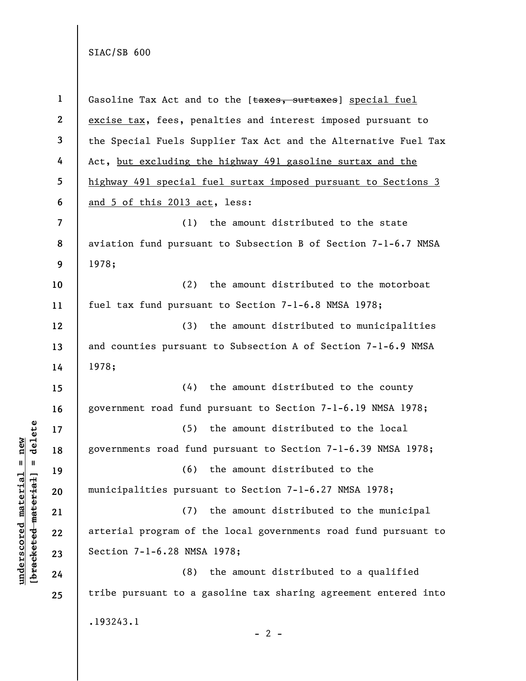**underscored material = new [bracketed material] = delete**

 $\frac{\text{underscored material} = \text{new}}{(\text{bracketed material}) = \text{dev}}$ 

| $\mathbf 1$             | Gasoline Tax Act and to the [taxes, surtaxes] special fuel      |
|-------------------------|-----------------------------------------------------------------|
| $\mathbf{2}$            | excise tax, fees, penalties and interest imposed pursuant to    |
| $\mathbf{3}$            | the Special Fuels Supplier Tax Act and the Alternative Fuel Tax |
| 4                       | Act, but excluding the highway 491 gasoline surtax and the      |
| 5                       | highway 491 special fuel surtax imposed pursuant to Sections 3  |
| 6                       | and 5 of this 2013 act, less:                                   |
| $\overline{\mathbf{z}}$ | the amount distributed to the state<br>(1)                      |
| 8                       | aviation fund pursuant to Subsection B of Section 7-1-6.7 NMSA  |
| 9                       | 1978;                                                           |
| 10                      | the amount distributed to the motorboat<br>(2)                  |
| 11                      | fuel tax fund pursuant to Section 7-1-6.8 NMSA 1978;            |
| 12                      | the amount distributed to municipalities<br>(3)                 |
| 13                      | and counties pursuant to Subsection A of Section 7-1-6.9 NMSA   |
| 14                      | 1978;                                                           |
| 15                      | (4)<br>the amount distributed to the county                     |
| 16                      | government road fund pursuant to Section 7-1-6.19 NMSA 1978;    |
| 17                      | the amount distributed to the local<br>(5)                      |
| 18                      | governments road fund pursuant to Section 7-1-6.39 NMSA 1978;   |
| 19                      | the amount distributed to the<br>(6)                            |
| 20                      | municipalities pursuant to Section 7-1-6.27 NMSA 1978;          |
| 21                      | the amount distributed to the municipal<br>(7)                  |
| 22                      | arterial program of the local governments road fund pursuant to |
| 23                      | Section 7-1-6.28 NMSA 1978;                                     |
| 24                      | the amount distributed to a qualified<br>(8)                    |
| 25                      | tribe pursuant to a gasoline tax sharing agreement entered into |
|                         | .193243.1                                                       |
|                         | $-2-$                                                           |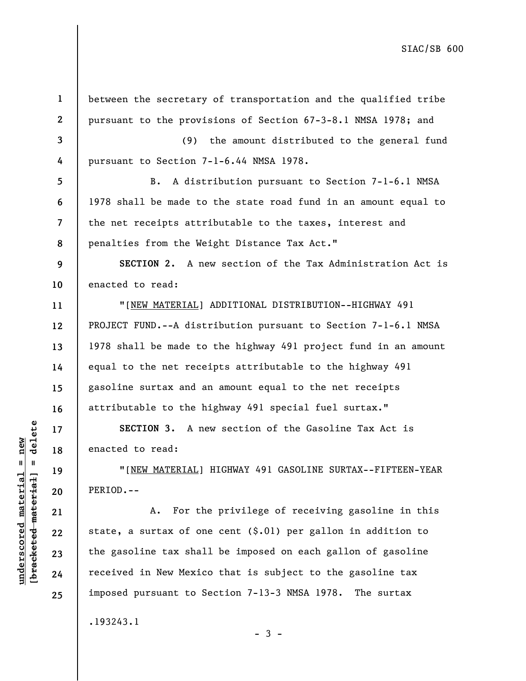**1 2 3 4 5 6 7 8 9 10 11 12 13 14 15 16 17 18 19 20 21 22 23 24 25**  between the secretary of transportation and the qualified tribe pursuant to the provisions of Section 67-3-8.1 NMSA 1978; and (9) the amount distributed to the general fund pursuant to Section 7-1-6.44 NMSA 1978. B. A distribution pursuant to Section 7-1-6.1 NMSA 1978 shall be made to the state road fund in an amount equal to the net receipts attributable to the taxes, interest and penalties from the Weight Distance Tax Act." **SECTION 2.** A new section of the Tax Administration Act is enacted to read: "[NEW MATERIAL] ADDITIONAL DISTRIBUTION--HIGHWAY 491 PROJECT FUND.--A distribution pursuant to Section 7-1-6.1 NMSA 1978 shall be made to the highway 491 project fund in an amount equal to the net receipts attributable to the highway 491 gasoline surtax and an amount equal to the net receipts attributable to the highway 491 special fuel surtax." **SECTION 3.** A new section of the Gasoline Tax Act is enacted to read: "[NEW MATERIAL] HIGHWAY 491 GASOLINE SURTAX--FIFTEEN-YEAR PERIOD.-- A. For the privilege of receiving gasoline in this state, a surtax of one cent  $(S.01)$  per gallon in addition to the gasoline tax shall be imposed on each gallon of gasoline received in New Mexico that is subject to the gasoline tax imposed pursuant to Section 7-13-3 NMSA 1978. The surtax .193243.1

 $\frac{1}{2}$  intereted material = delete **[bracketed material] = delete**  $underscored material = new$ **underscored material = new**

- 3 -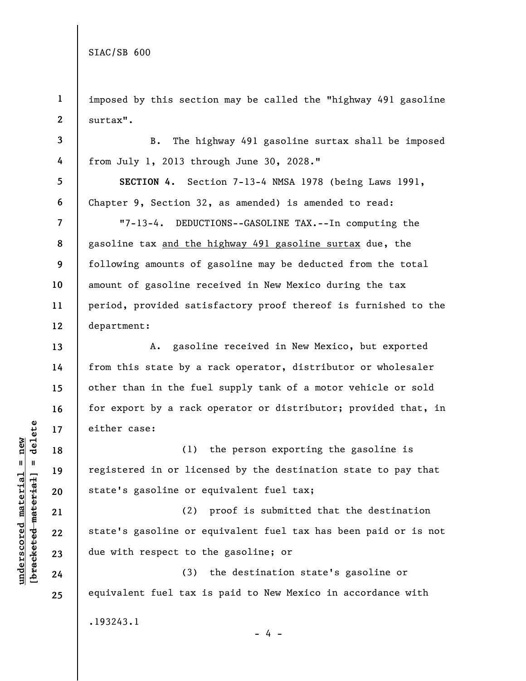**3** 

**4** 

**5** 

**6** 

**7** 

**8** 

**9** 

**10** 

**11** 

**12** 

**13** 

**14** 

**15** 

**16** 

**17** 

**18** 

**19** 

**20** 

**21** 

**22** 

**23** 

**24** 

**25** 

.193243.1

**1 2**  imposed by this section may be called the "highway 491 gasoline surtax".

B. The highway 491 gasoline surtax shall be imposed from July 1, 2013 through June 30, 2028."

**SECTION 4.** Section 7-13-4 NMSA 1978 (being Laws 1991, Chapter 9, Section 32, as amended) is amended to read:

"7-13-4. DEDUCTIONS--GASOLINE TAX.--In computing the gasoline tax and the highway 491 gasoline surtax due, the following amounts of gasoline may be deducted from the total amount of gasoline received in New Mexico during the tax period, provided satisfactory proof thereof is furnished to the department:

A. gasoline received in New Mexico, but exported from this state by a rack operator, distributor or wholesaler other than in the fuel supply tank of a motor vehicle or sold for export by a rack operator or distributor; provided that, in either case:

(1) the person exporting the gasoline is registered in or licensed by the destination state to pay that state's gasoline or equivalent fuel tax;

(2) proof is submitted that the destination state's gasoline or equivalent fuel tax has been paid or is not due with respect to the gasoline; or

(3) the destination state's gasoline or equivalent fuel tax is paid to New Mexico in accordance with

 $- 4 -$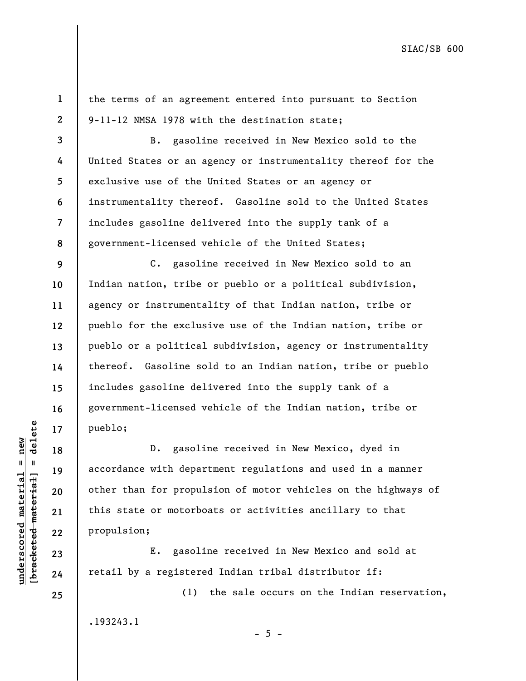**1 2**  the terms of an agreement entered into pursuant to Section 9-11-12 NMSA 1978 with the destination state;

**3 4 5 6 7 8**  B. gasoline received in New Mexico sold to the United States or an agency or instrumentality thereof for the exclusive use of the United States or an agency or instrumentality thereof. Gasoline sold to the United States includes gasoline delivered into the supply tank of a government-licensed vehicle of the United States;

C. gasoline received in New Mexico sold to an Indian nation, tribe or pueblo or a political subdivision, agency or instrumentality of that Indian nation, tribe or pueblo for the exclusive use of the Indian nation, tribe or pueblo or a political subdivision, agency or instrumentality thereof. Gasoline sold to an Indian nation, tribe or pueblo includes gasoline delivered into the supply tank of a government-licensed vehicle of the Indian nation, tribe or pueblo;

D. gasoline received in New Mexico, dyed in accordance with department regulations and used in a manner other than for propulsion of motor vehicles on the highways of this state or motorboats or activities ancillary to that propulsion;

E. gasoline received in New Mexico and sold at retail by a registered Indian tribal distributor if:

(1) the sale occurs on the Indian reservation, .193243.1

 $- 5 -$ 

 $b$ racketed material] = delete **[bracketed material] = delete**  $underscored material = new$ **underscored material = new**

**9** 

**10** 

**11** 

**12** 

**13** 

**14** 

**15** 

**16** 

**17** 

**18** 

**19** 

**20** 

**21** 

**22** 

**23** 

**24** 

**25**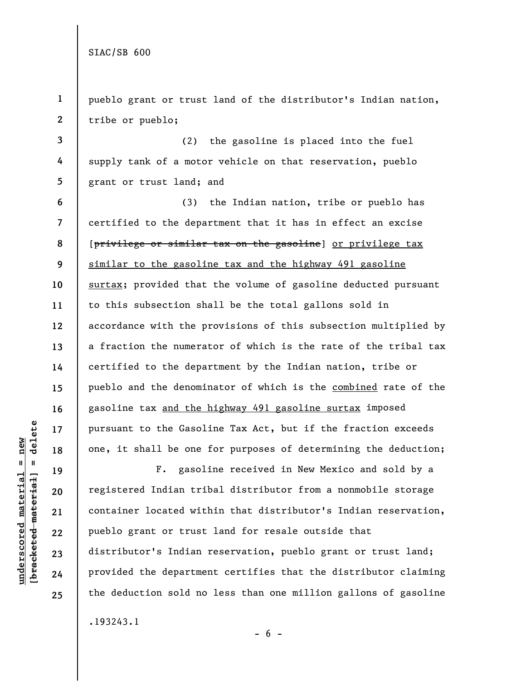**1 2 3 4 5 6 7 8 9 10 11 12 13 14 15 16 17 18 19 20 21 22**  pueblo grant or trust land of the distributor's Indian nation, tribe or pueblo; (2) the gasoline is placed into the fuel supply tank of a motor vehicle on that reservation, pueblo grant or trust land; and (3) the Indian nation, tribe or pueblo has certified to the department that it has in effect an excise [privilege or similar tax on the gasoline] or privilege tax similar to the gasoline tax and the highway 491 gasoline surtax; provided that the volume of gasoline deducted pursuant to this subsection shall be the total gallons sold in accordance with the provisions of this subsection multiplied by a fraction the numerator of which is the rate of the tribal tax certified to the department by the Indian nation, tribe or pueblo and the denominator of which is the combined rate of the gasoline tax and the highway 491 gasoline surtax imposed pursuant to the Gasoline Tax Act, but if the fraction exceeds one, it shall be one for purposes of determining the deduction; F. gasoline received in New Mexico and sold by a registered Indian tribal distributor from a nonmobile storage container located within that distributor's Indian reservation, pueblo grant or trust land for resale outside that

distributor's Indian reservation, pueblo grant or trust land; provided the department certifies that the distributor claiming the deduction sold no less than one million gallons of gasoline

.193243.1

 $b$ racketed material] = delete **[bracketed material] = delete**  $underscored material = new$ **underscored material = new**

**23** 

**24** 

**25** 

 $- 6 -$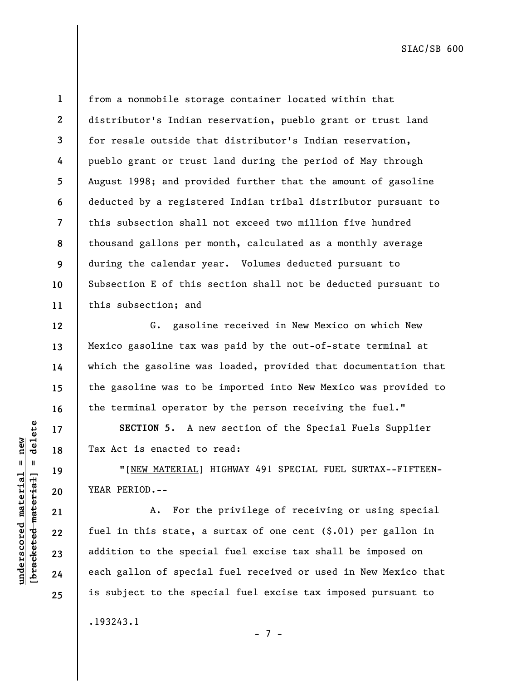**underscored material = new [bracketed material] = delete**

 $b$ racketed material] = delete  $underscored material = new$ 

**21** 

**22** 

**23** 

**24** 

**25** 

**1 2 3 4 5 6 7 8 9**  from a nonmobile storage container located within that distributor's Indian reservation, pueblo grant or trust land for resale outside that distributor's Indian reservation, pueblo grant or trust land during the period of May through August 1998; and provided further that the amount of gasoline deducted by a registered Indian tribal distributor pursuant to this subsection shall not exceed two million five hundred thousand gallons per month, calculated as a monthly average during the calendar year. Volumes deducted pursuant to Subsection E of this section shall not be deducted pursuant to this subsection; and

G. gasoline received in New Mexico on which New Mexico gasoline tax was paid by the out-of-state terminal at which the gasoline was loaded, provided that documentation that the gasoline was to be imported into New Mexico was provided to the terminal operator by the person receiving the fuel."

**SECTION 5**. A new section of the Special Fuels Supplier Tax Act is enacted to read:

"[NEW MATERIAL] HIGHWAY 491 SPECIAL FUEL SURTAX--FIFTEEN-YEAR PERIOD.--

A. For the privilege of receiving or using special fuel in this state, a surtax of one cent (\$.01) per gallon in addition to the special fuel excise tax shall be imposed on each gallon of special fuel received or used in New Mexico that is subject to the special fuel excise tax imposed pursuant to .193243.1

- 7 -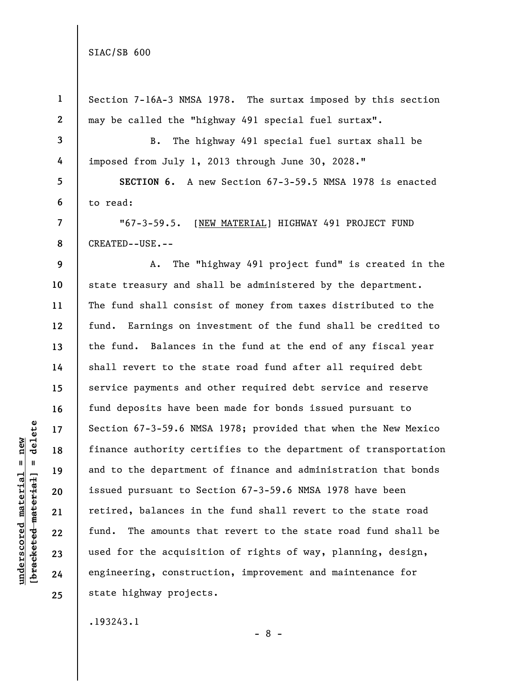| $\mathbf{1}$             | Section 7-16A-3 NMSA 1978. The surtax imposed by this section    |
|--------------------------|------------------------------------------------------------------|
| $\boldsymbol{2}$         | may be called the "highway 491 special fuel surtax".             |
| $\mathbf{3}$             | The highway 491 special fuel surtax shall be<br>B.               |
| 4                        | imposed from July 1, 2013 through June 30, 2028."                |
| 5                        | SECTION 6. A new Section 67-3-59.5 NMSA 1978 is enacted          |
| 6                        | to read:                                                         |
| $\overline{\mathcal{L}}$ | "67-3-59.5. [NEW MATERIAL] HIGHWAY 491 PROJECT FUND              |
| 8                        | CREATED--USE.--                                                  |
| 9                        | The "highway 491 project fund" is created in the<br>А.           |
| 10                       | state treasury and shall be administered by the department.      |
| 11                       | The fund shall consist of money from taxes distributed to the    |
| 12                       | fund. Earnings on investment of the fund shall be credited to    |
| 13                       | the fund. Balances in the fund at the end of any fiscal year     |
| 14                       | shall revert to the state road fund after all required debt      |
| 15                       | service payments and other required debt service and reserve     |
| 16                       | fund deposits have been made for bonds issued pursuant to        |
| 17                       | Section 67-3-59.6 NMSA 1978; provided that when the New Mexico   |
| 18                       | finance authority certifies to the department of transportation  |
| 19                       | and to the department of finance and administration that bonds   |
| 20                       | issued pursuant to Section 67-3-59.6 NMSA 1978 have been         |
| 21                       | retired, balances in the fund shall revert to the state road     |
| 22                       | The amounts that revert to the state road fund shall be<br>fund. |
| 23                       | used for the acquisition of rights of way, planning, design,     |
| 24                       | engineering, construction, improvement and maintenance for       |
| 25                       | state highway projects.                                          |
|                          | .193243.1                                                        |

 $[**bracket**et~~eted matcherial~~] = **delete**$ **[bracketed material] = delete**  $underscored material = new$ **underscored material = new**

- 8 -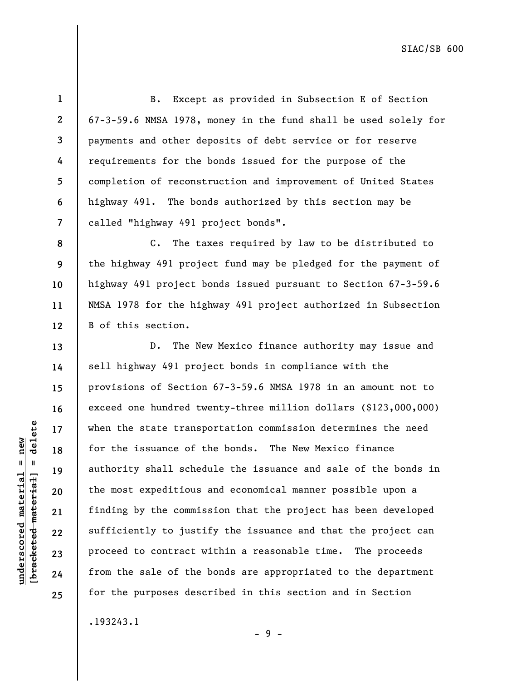**1 2 3 4 5 6 7**  B. Except as provided in Subsection E of Section 67-3-59.6 NMSA 1978, money in the fund shall be used solely for payments and other deposits of debt service or for reserve requirements for the bonds issued for the purpose of the completion of reconstruction and improvement of United States highway 491. The bonds authorized by this section may be called "highway 491 project bonds".

C. The taxes required by law to be distributed to the highway 491 project fund may be pledged for the payment of highway 491 project bonds issued pursuant to Section 67-3-59.6 NMSA 1978 for the highway 491 project authorized in Subsection B of this section.

D. The New Mexico finance authority may issue and sell highway 491 project bonds in compliance with the provisions of Section 67-3-59.6 NMSA 1978 in an amount not to exceed one hundred twenty-three million dollars (\$123,000,000) when the state transportation commission determines the need for the issuance of the bonds. The New Mexico finance authority shall schedule the issuance and sale of the bonds in the most expeditious and economical manner possible upon a finding by the commission that the project has been developed sufficiently to justify the issuance and that the project can proceed to contract within a reasonable time. The proceeds from the sale of the bonds are appropriated to the department for the purposes described in this section and in Section

- 9 -

.193243.1

delete **[bracketed material] = delete**  $underscored material = new$ **underscored material = new**  $[breaked$  material = **8** 

**9** 

**10** 

**11** 

**12** 

**13** 

**14** 

**15** 

**16** 

**17** 

**18** 

**19** 

**20** 

**21** 

**22** 

**23** 

**24** 

**25**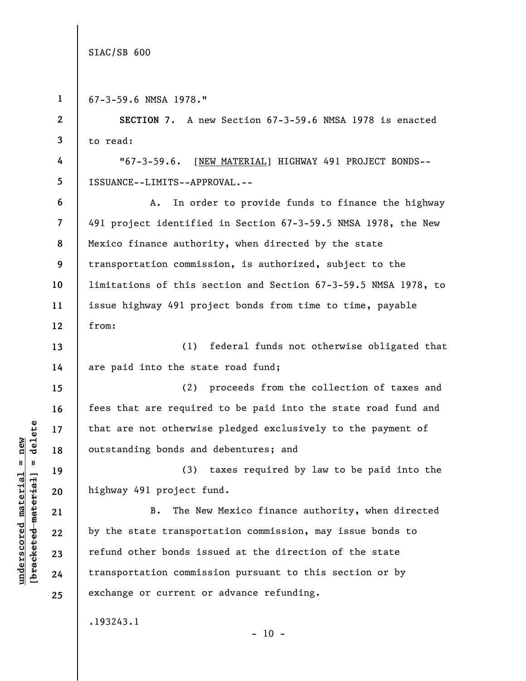**underscored material = new**

 $underscored material = new$ 

**1**  67-3-59.6 NMSA 1978." **2 SECTION 7**. A new Section 67-3-59.6 NMSA 1978 is enacted **3**  to read: **4**  "67-3-59.6. [NEW MATERIAL] HIGHWAY 491 PROJECT BONDS-- **5**  ISSUANCE--LIMITS--APPROVAL.-- **6**  A. In order to provide funds to finance the highway **7**  491 project identified in Section 67-3-59.5 NMSA 1978, the New Mexico finance authority, when directed by the state **8 9**  transportation commission, is authorized, subject to the **10**  limitations of this section and Section 67-3-59.5 NMSA 1978, to **11**  issue highway 491 project bonds from time to time, payable from: **12**  (1) federal funds not otherwise obligated that **13**  are paid into the state road fund; **14**  (2) proceeds from the collection of taxes and **15**  fees that are required to be paid into the state road fund and **16**   $b$ racketed material] = delete **[bracketed material] = delete** that are not otherwise pledged exclusively to the payment of **17**  outstanding bonds and debentures; and **18**  (3) taxes required by law to be paid into the **19**  highway 491 project fund. **20**  B. The New Mexico finance authority, when directed **21**  by the state transportation commission, may issue bonds to **22**  refund other bonds issued at the direction of the state **23**  transportation commission pursuant to this section or by **24**  exchange or current or advance refunding. **25**  .193243.1  $-10 -$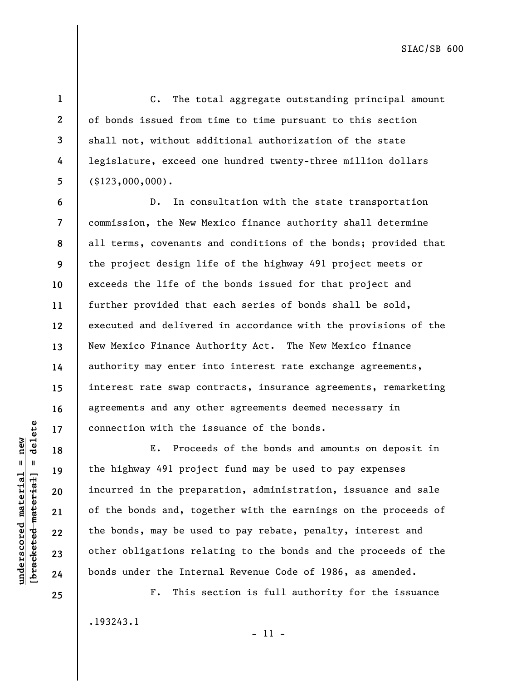**1 2** 

**3** 

**4** 

**5** 

C. The total aggregate outstanding principal amount of bonds issued from time to time pursuant to this section shall not, without additional authorization of the state legislature, exceed one hundred twenty-three million dollars (\$123,000,000).

**6 7 8 9 10 11 12 13 14 15 16 17**  D. In consultation with the state transportation commission, the New Mexico finance authority shall determine all terms, covenants and conditions of the bonds; provided that the project design life of the highway 491 project meets or exceeds the life of the bonds issued for that project and further provided that each series of bonds shall be sold, executed and delivered in accordance with the provisions of the New Mexico Finance Authority Act. The New Mexico finance authority may enter into interest rate exchange agreements, interest rate swap contracts, insurance agreements, remarketing agreements and any other agreements deemed necessary in connection with the issuance of the bonds.

E. Proceeds of the bonds and amounts on deposit in the highway 491 project fund may be used to pay expenses incurred in the preparation, administration, issuance and sale of the bonds and, together with the earnings on the proceeds of the bonds, may be used to pay rebate, penalty, interest and other obligations relating to the bonds and the proceeds of the bonds under the Internal Revenue Code of 1986, as amended.

F. This section is full authority for the issuance

.193243.1 - 11 -

 $\frac{1}{2}$  intereted material = delete **[bracketed material] = delete**  $underscored material = new$ **underscored material = new**

**18** 

**19** 

**20** 

**21** 

**22** 

**23** 

**24** 

**25**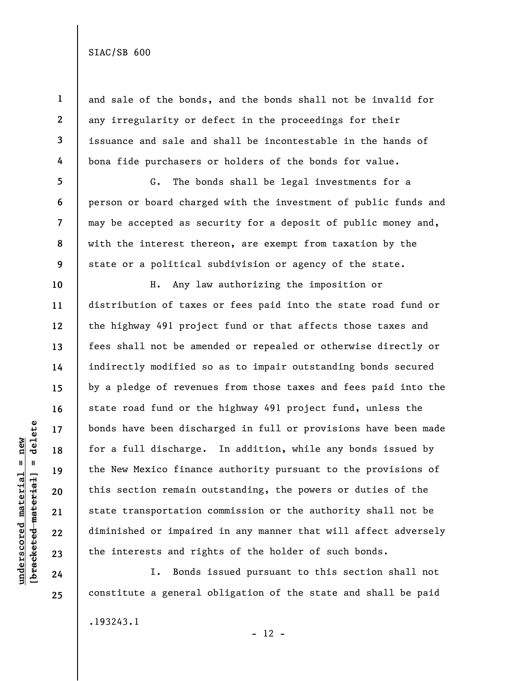**1 2 3 4 5 6 7 8 9 10 11 12 13 14 15 16 17 18 19 20 21 22**  and sale of the bonds, and the bonds shall not be invalid for any irregularity or defect in the proceedings for their issuance and sale and shall be incontestable in the hands of bona fide purchasers or holders of the bonds for value. G. The bonds shall be legal investments for a person or board charged with the investment of public funds and may be accepted as security for a deposit of public money and, with the interest thereon, are exempt from taxation by the state or a political subdivision or agency of the state. H. Any law authorizing the imposition or distribution of taxes or fees paid into the state road fund or the highway 491 project fund or that affects those taxes and fees shall not be amended or repealed or otherwise directly or indirectly modified so as to impair outstanding bonds secured by a pledge of revenues from those taxes and fees paid into the state road fund or the highway 491 project fund, unless the bonds have been discharged in full or provisions have been made for a full discharge. In addition, while any bonds issued by the New Mexico finance authority pursuant to the provisions of this section remain outstanding, the powers or duties of the state transportation commission or the authority shall not be diminished or impaired in any manner that will affect adversely the interests and rights of the holder of such bonds.

I. Bonds issued pursuant to this section shall not constitute a general obligation of the state and shall be paid .193243.1

delete **[bracketed material] = delete**  $underscored$  material = new **underscored material = new**  $\frac{1}{2}$  = [44-beted material]

**23 24 25** 

 $- 12 -$